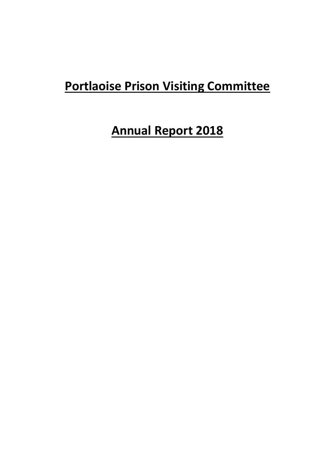## **Portlaoise Prison Visiting Committee**

## **Annual Report 2018**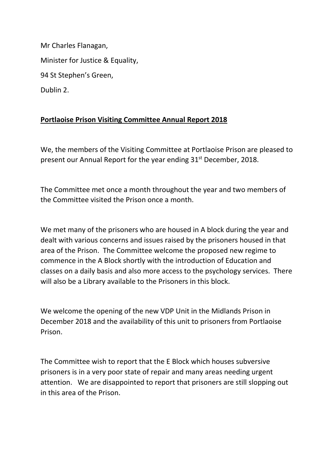Mr Charles Flanagan, Minister for Justice & Equality, 94 St Stephen's Green, Dublin 2.

## **Portlaoise Prison Visiting Committee Annual Report 2018**

We, the members of the Visiting Committee at Portlaoise Prison are pleased to present our Annual Report for the year ending 31<sup>st</sup> December, 2018.

The Committee met once a month throughout the year and two members of the Committee visited the Prison once a month.

We met many of the prisoners who are housed in A block during the year and dealt with various concerns and issues raised by the prisoners housed in that area of the Prison. The Committee welcome the proposed new regime to commence in the A Block shortly with the introduction of Education and classes on a daily basis and also more access to the psychology services. There will also be a Library available to the Prisoners in this block.

We welcome the opening of the new VDP Unit in the Midlands Prison in December 2018 and the availability of this unit to prisoners from Portlaoise Prison.

The Committee wish to report that the E Block which houses subversive prisoners is in a very poor state of repair and many areas needing urgent attention. We are disappointed to report that prisoners are still slopping out in this area of the Prison.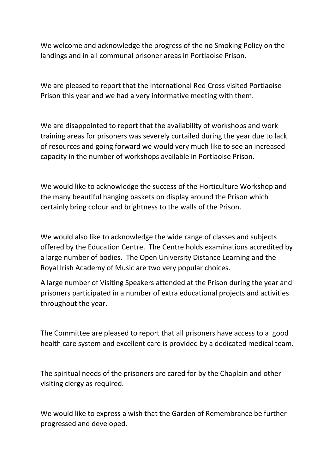We welcome and acknowledge the progress of the no Smoking Policy on the landings and in all communal prisoner areas in Portlaoise Prison.

We are pleased to report that the International Red Cross visited Portlaoise Prison this year and we had a very informative meeting with them.

We are disappointed to report that the availability of workshops and work training areas for prisoners was severely curtailed during the year due to lack of resources and going forward we would very much like to see an increased capacity in the number of workshops available in Portlaoise Prison.

We would like to acknowledge the success of the Horticulture Workshop and the many beautiful hanging baskets on display around the Prison which certainly bring colour and brightness to the walls of the Prison.

We would also like to acknowledge the wide range of classes and subjects offered by the Education Centre. The Centre holds examinations accredited by a large number of bodies. The Open University Distance Learning and the Royal Irish Academy of Music are two very popular choices.

A large number of Visiting Speakers attended at the Prison during the year and prisoners participated in a number of extra educational projects and activities throughout the year.

The Committee are pleased to report that all prisoners have access to a good health care system and excellent care is provided by a dedicated medical team.

The spiritual needs of the prisoners are cared for by the Chaplain and other visiting clergy as required.

We would like to express a wish that the Garden of Remembrance be further progressed and developed.